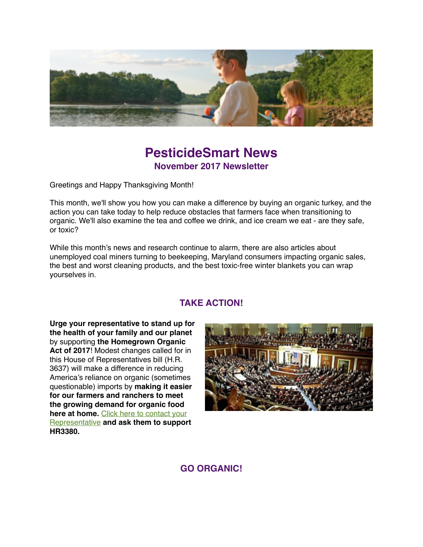

# **PesticideSmart News November 2017 Newsletter**

Greetings and Happy Thanksgiving Month!

This month, we'll show you how you can make a difference by buying an organic turkey, and the action you can take today to help reduce obstacles that farmers face when transitioning to organic. We'll also examine the tea and coffee we drink, and ice cream we eat - are they safe, or toxic?

While this month's news and research continue to alarm, there are also articles about unemployed coal miners turning to beekeeping, Maryland consumers impacting organic sales, the best and worst cleaning products, and the best toxic-free winter blankets you can wrap yourselves in.

### **TAKE ACTION!**

**Urge your representative to stand up for the health of your family and our planet** by supporting **the Homegrown Organic Act of 2017**! Modest changes called for in this House of Representatives bill (H.R. 3637) will make a difference in reducing America's reliance on organic (sometimes questionable) imports by **making it easier for our farmers and ranchers to meet the growing demand for organic food here at home.** Click here to contact your Representative **[and ask them to support](https://secure.ewg.org/p/dia/action4/common/public/?action_KEY=2361&tag=201710HomegrownOrgGmail&source=ACTION_HomegrownOrg) HR3380.**



**GO ORGANIC!**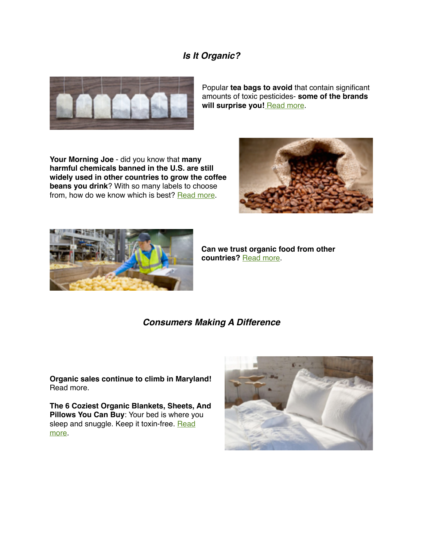### *Is It Organic?*



Popular **tea bags to avoid** that contain significant amounts of toxic pesticides- **some of the brands**  will surprise you! [Read more.](http://realfarmacy.com/pesticide-tea/)

**Your Morning Joe** - did you know that **many harmful chemicals banned in the U.S. are still widely used in other countries to grow the coffee beans you drink**? With so many labels to choose from, how do we know which is best? [Read more](https://www.cornucopia.org/2017/10/considering-coffee/?utm_source=eNews&utm_medium=email&utm_content=10.21.17&utm_campaign=CoffeeMORE).





**Can we trust organic food from other countries?** [Read more](https://www.rodalesorganiclife.com/food/trust-imported-organic-food?utm_campaign=OrganicLife&utm_source=rodalesorganiclife.com&utm_medium=newsletter&smartcode=YN_0005409186_0001637574&sha1hashlower=78f458218bd26cd0a0c9843f2703bff3c35dd3fd&md5hash=e41dc230251a478412b9b0aaf5616c09).

#### *Consumers Making A Difference*

**Organic sales continue to climb in Maryland!**  Read more.

**The 6 Coziest Organic Blankets, Sheets, And Pillows You Can Buy**: Your bed is where you sleep and snuggle. Keep it toxin-free. Read more.

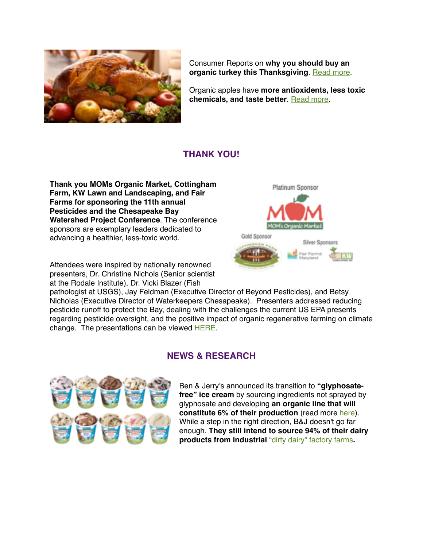

Consumer Reports on **why you should buy an**  organic turkey this Thanksgiving. [Read more.](https://www.consumerreports.org/food/why-you-should-buy-an-organic-turkey/)

Organic apples have **more antioxidents, less toxic chemicals, and taste better**. [Read more.](https://www.rodalesorganiclife.com/food/why-organic-apples-are-better)

### **THANK YOU!**

**Thank you MOMs Organic Market, Cottingham Farm, KW Lawn and Landscaping, and Fair Farms for sponsoring the 11th annual Pesticides and the Chesapeake Bay Watershed Project Conference**. The conference sponsors are exemplary leaders dedicated to advancing a healthier, less-toxic world.

Attendees were inspired by nationally renowned presenters, Dr. Christine Nichols (Senior scientist at the Rodale Institute), Dr. Vicki Blazer (Fish



pathologist at USGS), Jay Feldman (Executive Director of Beyond Pesticides), and Betsy Nicholas (Executive Director of Waterkeepers Chesapeake). Presenters addressed reducing pesticide runoff to protect the Bay, dealing with the challenges the current US EPA presents regarding pesticide oversight, and the positive impact of organic regenerative farming on climate change. The presentations can be viewed [HERE](http://www.mdpestnet.org/projects/pesticides-and-the-chesapeake-bay-watershed/annual-meeting-presentations/).

### **NEWS & RESEARCH**



Ben & Jerry's announced its transition to **"glyphosatefree" ice cream** by sourcing ingredients not sprayed by glyphosate and developing **an organic line that will constitute 6% of their production** (read more [here\)](http://www.apple.com). While a step in the right direction, B&J doesn't go far enough. **They still intend to source 94% of their dairy products from industrial** ["dirty dairy" factory farms](https://www.organicconsumers.org/essays/dirty-dairy-why-consumers-need-force-ben-and-jerrys-go-organic)**.**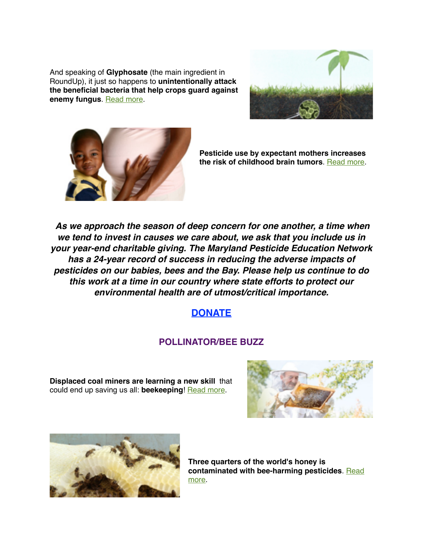And speaking of **Glyphosate** (the main ingredient in RoundUp), it just so happens to **unintentionally attack the beneficial bacteria that help crops guard against enemy fungus. [Read more](http://sustainablepulse.com/2017/10/07/cornell-university-research-shows-glyphosate-damages-soil-friendly-bacteria/).** 





**Pesticide use by expectant mothers increases the risk of childhood brain tumors**. [Read more.](http://beyondpesticides.org/dailynewsblog/2017/10/moms-pesticide-use-increases-risk-childhood-brain-tumors/)

 *As we approach the season of deep concern for one another, a time when we tend to invest in causes we care about, we ask that you include us in your year-end charitable giving. The Maryland Pesticide Education Network has a 24-year record of success in reducing the adverse impacts of pesticides on our babies, bees and the Bay. Please help us continue to do this work at a time in our country where state efforts to protect our environmental health are of utmost/critical importance.*

## **[DONATE](https://donatenow.networkforgood.org/MDSmartonPesticides)**

### **POLLINATOR/BEE BUZZ**

**Displaced coal miners are learning a new skill** that could end up saving us all: **beekeeping**! [Read more.](https://www.rodalesorganiclife.com/wellbeing/coal-miner-beekeeping?utm_campaign=OrganicLife&utm_source=rodalesorganiclife.com&utm_medium=newsletter&smartcode=YN_0005409186_0001641013&sha1hashlower=78f458218bd26cd0a0c9843f2703bff3c35dd3fd&md5hash=e41dc230251a478412b9b0aaf5616c09)





**Three quarters of the world's honey is**  [contaminated with bee-harming pesticides](https://www.theverge.com/2017/10/5/16424216/honey-neonicotinoids-contamination-honeybees-pollinators-environment). Read more.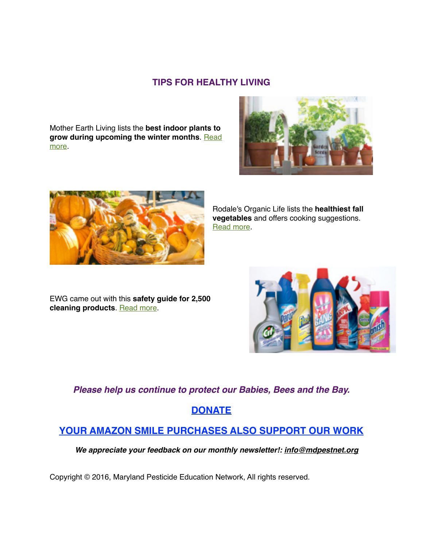#### **TIPS FOR HEALTHY LIVING**

Mother Earth Living lists the **best indoor plants to [grow during upcoming the winter months](https://www.motherearthliving.com/healthy-home/best-indoor-plants-zm0z17ndzfis?newsletter=1&spot=headline&utm_source=wcemail&utm_medium=email&utm_campaign=MEL%20Weekly%2010.19.17&utm_term=MEL_Weekly_eNews&_wcsid=276226195A9B1D7162D397D4FBB466118441999530870E4D)**. Read more.





Rodale's Organic Life lists the **healthiest fall vegetables** and offers cooking suggestions. [Read more](https://www.rodalesorganiclife.com/garden/healthy-fall-vegetables).

EWG came out with this **safety guide for 2,500 cleaning products**. [Read more](http://www.ewg.org/guides/cleaners?utm_source=newsletter&utm_campaign=Cleaners&utm_medium=email#.Weo83kyZMhs).



*Please help us continue to protect our Babies, Bees and the Bay.* 

### **[DONATE](https://donatenow.networkforgood.org/MDSmartonPesticides)**

### **[YOUR AMAZON SMILE PURCHASES ALSO SUPPORT OUR WORK](https://smile.amazon.com/gp/r.html?C=62NVF025SIE7&R=E5TQA2P8ERTM&T=C&U=http%3A%2F%2Fsmile.amazon.com%2Fgp%2Fcharity%2Fhomepage.html%3Forig%3D%252Fgp%252Fbrowse.html%253Fnode%253D11448061011%26ein%3D46-3713793%26ref_%3Dpe_732550_198866770&A=NKFGTYTPKMRY9JYJHU8BDNUY1O8A&H=MA2ZRA0EILJBH4JRBMDVGUDB8HCA&ref_=pe_732550_198866770)**

 *We appreciate your feedback on our monthly newsletter!: [info@mdpestnet.org](mailto:info@mdpestnet.org)*

Copyright © 2016, Maryland Pesticide Education Network, All rights reserved.